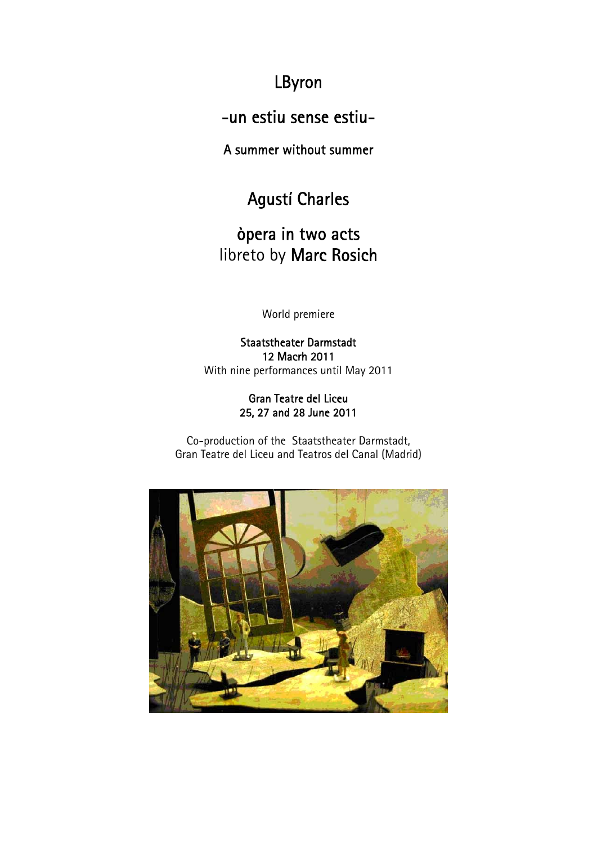## LByron

-un estiu sense estiu-

A summer without summer

# Agustí Charles

òpera in two acts libreto by Marc Rosich

World premiere

Staatstheater Darmstadt 12 Macrh 2011 With nine performances until May 2011

#### Gran Teatre del Liceu 25, 27 and 28 June 2011

Co-production of the Staatstheater Darmstadt, Gran Teatre del Liceu and Teatros del Canal (Madrid)

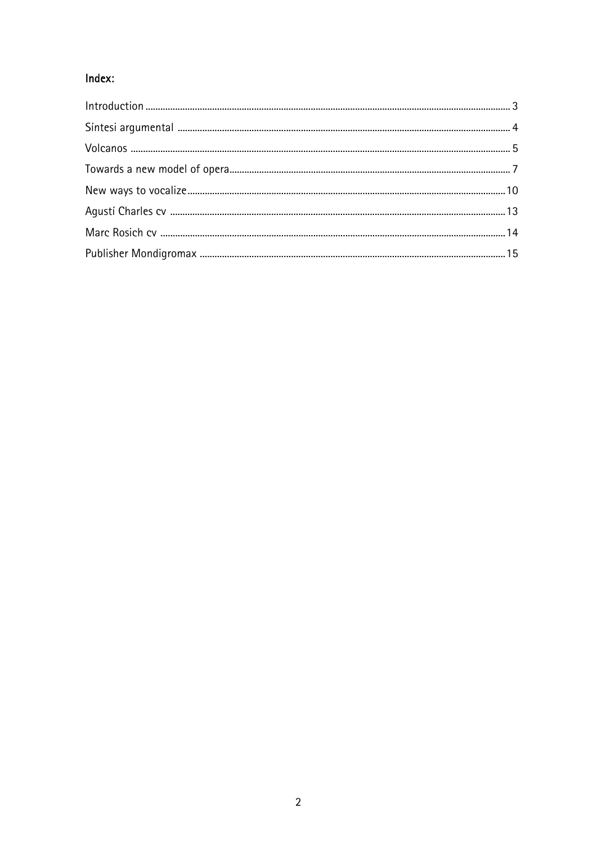### Index: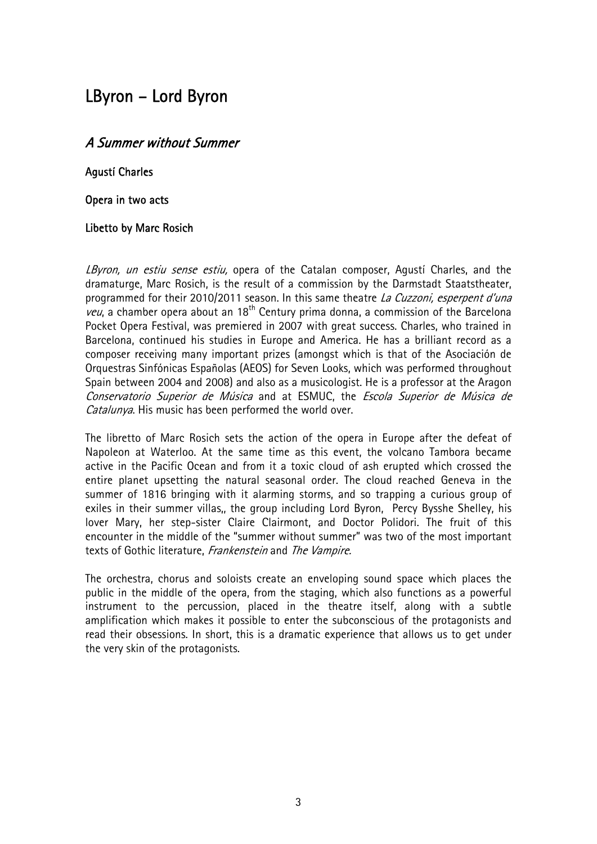## LByron – Lord Byron

#### A Summer without Summer

Agustí Charles

Opera in two acts

#### Libetto by Marc Rosich

LByron, un estiu sense estiu, opera of the Catalan composer, Agusti Charles, and the dramaturge, Marc Rosich, is the result of a commission by the Darmstadt Staatstheater, programmed for their 2010/2011 season. In this same theatre La Cuzzoni, esperpent d'una *veu*, a chamber opera about an 18<sup>th</sup> Century prima donna, a commission of the Barcelona Pocket Opera Festival, was premiered in 2007 with great success. Charles, who trained in Barcelona, continued his studies in Europe and America. He has a brilliant record as a composer receiving many important prizes (amongst which is that of the Asociación de Orquestras Sinfónicas Españolas (AEOS) for Seven Looks, which was performed throughout Spain between 2004 and 2008) and also as a musicologist. He is a professor at the Aragon Conservatorio Superior de Música and at ESMUC, the Escola Superior de Música de Catalunya. His music has been performed the world over.

The libretto of Marc Rosich sets the action of the opera in Europe after the defeat of Napoleon at Waterloo. At the same time as this event, the volcano Tambora became active in the Pacific Ocean and from it a toxic cloud of ash erupted which crossed the entire planet upsetting the natural seasonal order. The cloud reached Geneva in the summer of 1816 bringing with it alarming storms, and so trapping a curious group of exiles in their summer villas,, the group including Lord Byron, Percy Bysshe Shelley, his lover Mary, her step-sister Claire Clairmont, and Doctor Polidori. The fruit of this encounter in the middle of the "summer without summer" was two of the most important texts of Gothic literature, Frankenstein and The Vampire.

The orchestra, chorus and soloists create an enveloping sound space which places the public in the middle of the opera, from the staging, which also functions as a powerful instrument to the percussion, placed in the theatre itself, along with a subtle amplification which makes it possible to enter the subconscious of the protagonists and read their obsessions. In short, this is a dramatic experience that allows us to get under the very skin of the protagonists.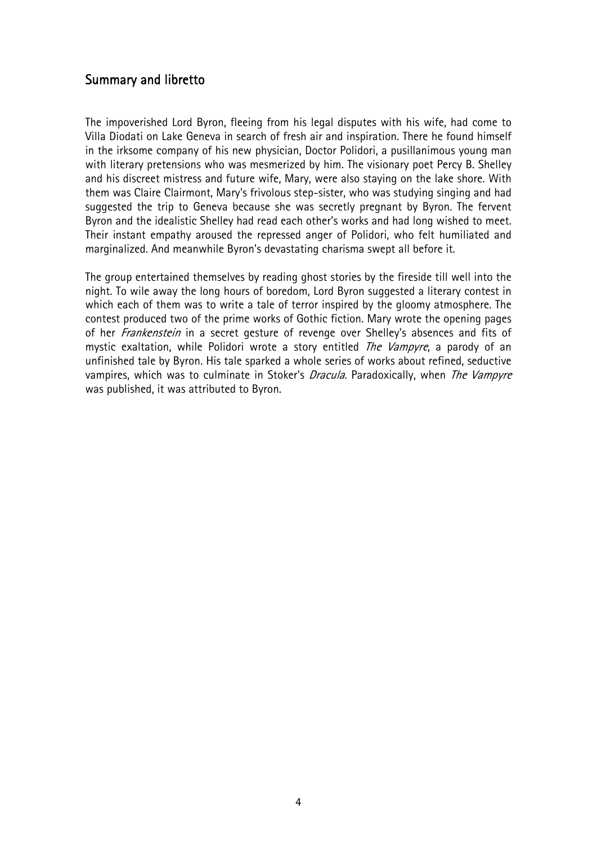#### Summary and libretto

The impoverished Lord Byron, fleeing from his legal disputes with his wife, had come to Villa Diodati on Lake Geneva in search of fresh air and inspiration. There he found himself in the irksome company of his new physician, Doctor Polidori, a pusillanimous young man with literary pretensions who was mesmerized by him. The visionary poet Percy B. Shelley and his discreet mistress and future wife, Mary, were also staying on the lake shore. With them was Claire Clairmont, Mary's frivolous step-sister, who was studying singing and had suggested the trip to Geneva because she was secretly pregnant by Byron. The fervent Byron and the idealistic Shelley had read each other's works and had long wished to meet. Their instant empathy aroused the repressed anger of Polidori, who felt humiliated and marginalized. And meanwhile Byron's devastating charisma swept all before it.

The group entertained themselves by reading ghost stories by the fireside till well into the night. To wile away the long hours of boredom, Lord Byron suggested a literary contest in which each of them was to write a tale of terror inspired by the gloomy atmosphere. The contest produced two of the prime works of Gothic fiction. Mary wrote the opening pages of her *Frankenstein* in a secret gesture of revenge over Shelley's absences and fits of mystic exaltation, while Polidori wrote a story entitled *The Vampyre*, a parody of an unfinished tale by Byron. His tale sparked a whole series of works about refined, seductive vampires, which was to culminate in Stoker's *Dracula*. Paradoxically, when *The Vampyre* was published, it was attributed to Byron.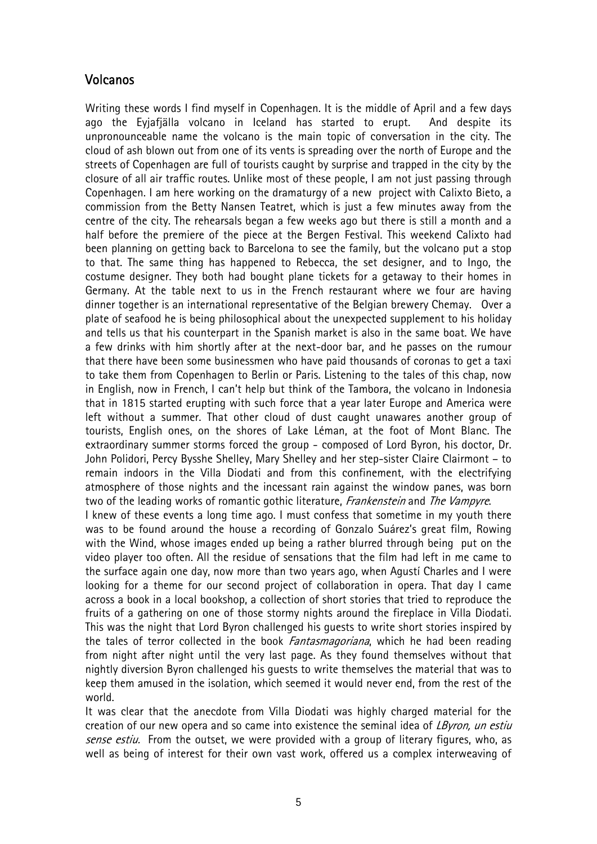#### Volcanos

world.

Writing these words I find myself in Copenhagen. It is the middle of April and a few days ago the Eyjafjälla volcano in Iceland has started to erupt. And despite its unpronounceable name the volcano is the main topic of conversation in the city. The cloud of ash blown out from one of its vents is spreading over the north of Europe and the streets of Copenhagen are full of tourists caught by surprise and trapped in the city by the closure of all air traffic routes. Unlike most of these people, I am not just passing through Copenhagen. I am here working on the dramaturgy of a new project with Calixto Bieto, a commission from the Betty Nansen Teatret, which is just a few minutes away from the centre of the city. The rehearsals began a few weeks ago but there is still a month and a half before the premiere of the piece at the Bergen Festival. This weekend Calixto had been planning on getting back to Barcelona to see the family, but the volcano put a stop to that. The same thing has happened to Rebecca, the set designer, and to Ingo, the costume designer. They both had bought plane tickets for a getaway to their homes in Germany. At the table next to us in the French restaurant where we four are having dinner together is an international representative of the Belgian brewery Chemay. Over a plate of seafood he is being philosophical about the unexpected supplement to his holiday and tells us that his counterpart in the Spanish market is also in the same boat. We have a few drinks with him shortly after at the next-door bar, and he passes on the rumour that there have been some businessmen who have paid thousands of coronas to get a taxi to take them from Copenhagen to Berlin or Paris. Listening to the tales of this chap, now in English, now in French, I can't help but think of the Tambora, the volcano in Indonesia that in 1815 started erupting with such force that a year later Europe and America were left without a summer. That other cloud of dust caught unawares another group of tourists, English ones, on the shores of Lake Léman, at the foot of Mont Blanc. The extraordinary summer storms forced the group - composed of Lord Byron, his doctor, Dr. John Polidori, Percy Bysshe Shelley, Mary Shelley and her step-sister Claire Clairmont – to remain indoors in the Villa Diodati and from this confinement, with the electrifying atmosphere of those nights and the incessant rain against the window panes, was born two of the leading works of romantic gothic literature, *Frankenstein* and The Vampyre. I knew of these events a long time ago. I must confess that sometime in my youth there was to be found around the house a recording of Gonzalo Suárez's great film, Rowing with the Wind, whose images ended up being a rather blurred through being put on the video player too often. All the residue of sensations that the film had left in me came to the surface again one day, now more than two years ago, when Agustí Charles and I were looking for a theme for our second project of collaboration in opera. That day I came across a book in a local bookshop, a collection of short stories that tried to reproduce the fruits of a gathering on one of those stormy nights around the fireplace in Villa Diodati. This was the night that Lord Byron challenged his guests to write short stories inspired by the tales of terror collected in the book Fantasmagoriana, which he had been reading from night after night until the very last page. As they found themselves without that nightly diversion Byron challenged his guests to write themselves the material that was to

It was clear that the anecdote from Villa Diodati was highly charged material for the creation of our new opera and so came into existence the seminal idea of LByron, un estiu sense estiu. From the outset, we were provided with a group of literary figures, who, as well as being of interest for their own vast work, offered us a complex interweaving of

keep them amused in the isolation, which seemed it would never end, from the rest of the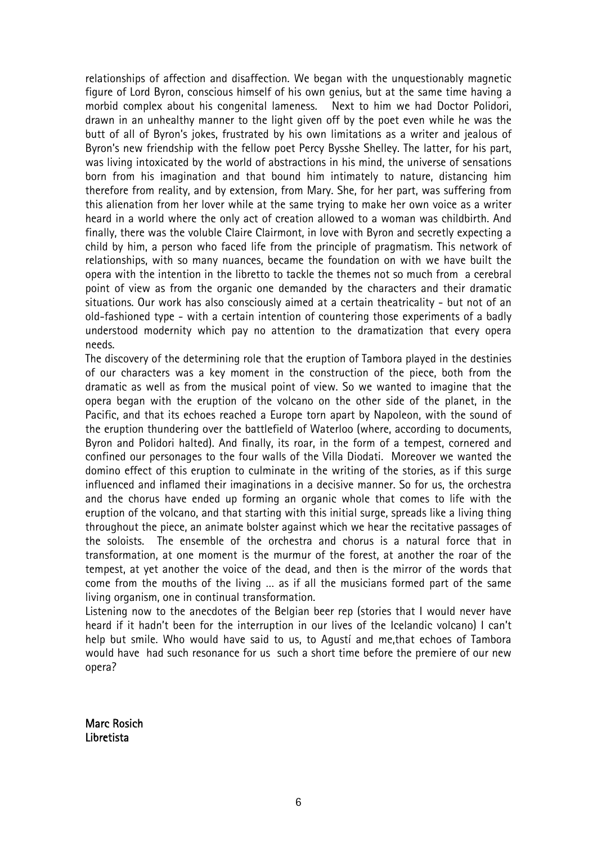relationships of affection and disaffection. We began with the unquestionably magnetic figure of Lord Byron, conscious himself of his own genius, but at the same time having a morbid complex about his congenital lameness. Next to him we had Doctor Polidori, drawn in an unhealthy manner to the light given off by the poet even while he was the butt of all of Byron's jokes, frustrated by his own limitations as a writer and jealous of Byron's new friendship with the fellow poet Percy Bysshe Shelley. The latter, for his part, was living intoxicated by the world of abstractions in his mind, the universe of sensations born from his imagination and that bound him intimately to nature, distancing him therefore from reality, and by extension, from Mary. She, for her part, was suffering from this alienation from her lover while at the same trying to make her own voice as a writer heard in a world where the only act of creation allowed to a woman was childbirth. And finally, there was the voluble Claire Clairmont, in love with Byron and secretly expecting a child by him, a person who faced life from the principle of pragmatism. This network of relationships, with so many nuances, became the foundation on with we have built the opera with the intention in the libretto to tackle the themes not so much from a cerebral point of view as from the organic one demanded by the characters and their dramatic situations. Our work has also consciously aimed at a certain theatricality - but not of an old-fashioned type - with a certain intention of countering those experiments of a badly understood modernity which pay no attention to the dramatization that every opera needs.

The discovery of the determining role that the eruption of Tambora played in the destinies of our characters was a key moment in the construction of the piece, both from the dramatic as well as from the musical point of view. So we wanted to imagine that the opera began with the eruption of the volcano on the other side of the planet, in the Pacific, and that its echoes reached a Europe torn apart by Napoleon, with the sound of the eruption thundering over the battlefield of Waterloo (where, according to documents, Byron and Polidori halted). And finally, its roar, in the form of a tempest, cornered and confined our personages to the four walls of the Villa Diodati. Moreover we wanted the domino effect of this eruption to culminate in the writing of the stories, as if this surge influenced and inflamed their imaginations in a decisive manner. So for us, the orchestra and the chorus have ended up forming an organic whole that comes to life with the eruption of the volcano, and that starting with this initial surge, spreads like a living thing throughout the piece, an animate bolster against which we hear the recitative passages of the soloists. The ensemble of the orchestra and chorus is a natural force that in transformation, at one moment is the murmur of the forest, at another the roar of the tempest, at yet another the voice of the dead, and then is the mirror of the words that come from the mouths of the living … as if all the musicians formed part of the same living organism, one in continual transformation.

Listening now to the anecdotes of the Belgian beer rep (stories that I would never have heard if it hadn't been for the interruption in our lives of the Icelandic volcano) I can't help but smile. Who would have said to us, to Agustí and me,that echoes of Tambora would have had such resonance for us such a short time before the premiere of our new opera?

Marc Rosich Libretista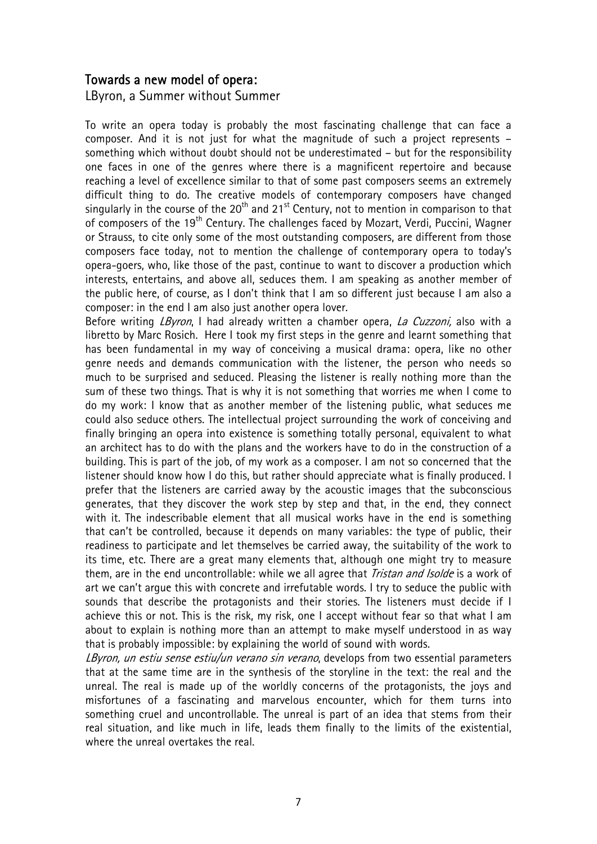#### Towards a new model of opera:

LByron, a Summer without Summer

To write an opera today is probably the most fascinating challenge that can face a composer. And it is not just for what the magnitude of such a project represents – something which without doubt should not be underestimated – but for the responsibility one faces in one of the genres where there is a magnificent repertoire and because reaching a level of excellence similar to that of some past composers seems an extremely difficult thing to do. The creative models of contemporary composers have changed singularly in the course of the 20<sup>th</sup> and 21<sup>st</sup> Century, not to mention in comparison to that of composers of the 19<sup>th</sup> Century. The challenges faced by Mozart, Verdi, Puccini, Wagner or Strauss, to cite only some of the most outstanding composers, are different from those composers face today, not to mention the challenge of contemporary opera to today's opera-goers, who, like those of the past, continue to want to discover a production which interests, entertains, and above all, seduces them. I am speaking as another member of the public here, of course, as I don't think that I am so different just because I am also a composer: in the end I am also just another opera lover.

Before writing *LByron*, I had already written a chamber opera, *La Cuzzoni*, also with a libretto by Marc Rosich. Here I took my first steps in the genre and learnt something that has been fundamental in my way of conceiving a musical drama: opera, like no other genre needs and demands communication with the listener, the person who needs so much to be surprised and seduced. Pleasing the listener is really nothing more than the sum of these two things. That is why it is not something that worries me when I come to do my work: I know that as another member of the listening public, what seduces me could also seduce others. The intellectual project surrounding the work of conceiving and finally bringing an opera into existence is something totally personal, equivalent to what an architect has to do with the plans and the workers have to do in the construction of a building. This is part of the job, of my work as a composer. I am not so concerned that the listener should know how I do this, but rather should appreciate what is finally produced. I prefer that the listeners are carried away by the acoustic images that the subconscious generates, that they discover the work step by step and that, in the end, they connect with it. The indescribable element that all musical works have in the end is something that can't be controlled, because it depends on many variables: the type of public, their readiness to participate and let themselves be carried away, the suitability of the work to its time, etc. There are a great many elements that, although one might try to measure them, are in the end uncontrollable: while we all agree that *Tristan and Isolde* is a work of art we can't argue this with concrete and irrefutable words. I try to seduce the public with sounds that describe the protagonists and their stories. The listeners must decide if I achieve this or not. This is the risk, my risk, one I accept without fear so that what I am about to explain is nothing more than an attempt to make myself understood in as way that is probably impossible: by explaining the world of sound with words.

LByron, un estiu sense estiu/un verano sin verano, develops from two essential parameters that at the same time are in the synthesis of the storyline in the text: the real and the unreal. The real is made up of the worldly concerns of the protagonists, the joys and misfortunes of a fascinating and marvelous encounter, which for them turns into something cruel and uncontrollable. The unreal is part of an idea that stems from their real situation, and like much in life, leads them finally to the limits of the existential, where the unreal overtakes the real.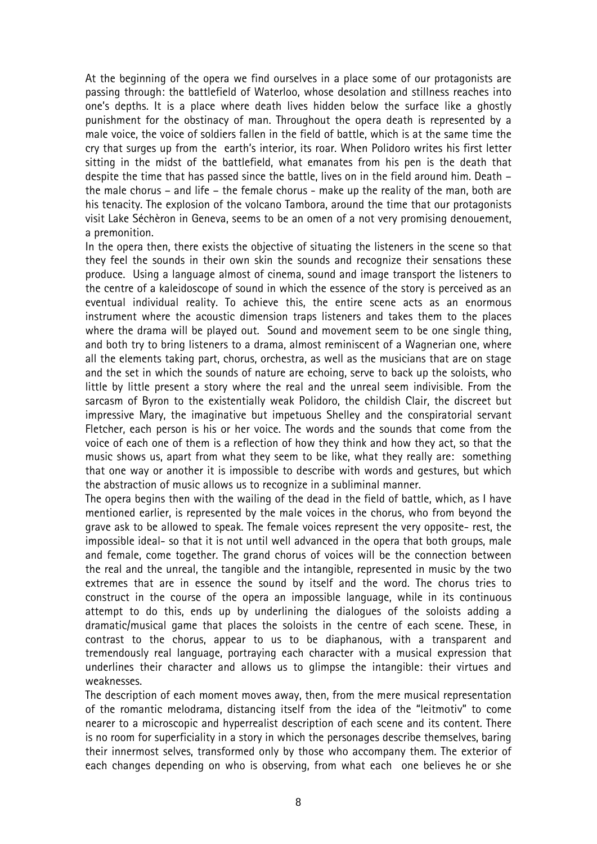At the beginning of the opera we find ourselves in a place some of our protagonists are passing through: the battlefield of Waterloo, whose desolation and stillness reaches into one's depths. It is a place where death lives hidden below the surface like a ghostly punishment for the obstinacy of man. Throughout the opera death is represented by a male voice, the voice of soldiers fallen in the field of battle, which is at the same time the cry that surges up from the earth's interior, its roar. When Polidoro writes his first letter sitting in the midst of the battlefield, what emanates from his pen is the death that despite the time that has passed since the battle, lives on in the field around him. Death – the male chorus – and life – the female chorus - make up the reality of the man, both are his tenacity. The explosion of the volcano Tambora, around the time that our protagonists visit Lake Séchèron in Geneva, seems to be an omen of a not very promising denouement, a premonition.

In the opera then, there exists the objective of situating the listeners in the scene so that they feel the sounds in their own skin the sounds and recognize their sensations these produce. Using a language almost of cinema, sound and image transport the listeners to the centre of a kaleidoscope of sound in which the essence of the story is perceived as an eventual individual reality. To achieve this, the entire scene acts as an enormous instrument where the acoustic dimension traps listeners and takes them to the places where the drama will be played out. Sound and movement seem to be one single thing, and both try to bring listeners to a drama, almost reminiscent of a Wagnerian one, where all the elements taking part, chorus, orchestra, as well as the musicians that are on stage and the set in which the sounds of nature are echoing, serve to back up the soloists, who little by little present a story where the real and the unreal seem indivisible. From the sarcasm of Byron to the existentially weak Polidoro, the childish Clair, the discreet but impressive Mary, the imaginative but impetuous Shelley and the conspiratorial servant Fletcher, each person is his or her voice. The words and the sounds that come from the voice of each one of them is a reflection of how they think and how they act, so that the music shows us, apart from what they seem to be like, what they really are: something that one way or another it is impossible to describe with words and gestures, but which the abstraction of music allows us to recognize in a subliminal manner.

The opera begins then with the wailing of the dead in the field of battle, which, as I have mentioned earlier, is represented by the male voices in the chorus, who from beyond the grave ask to be allowed to speak. The female voices represent the very opposite- rest, the impossible ideal- so that it is not until well advanced in the opera that both groups, male and female, come together. The grand chorus of voices will be the connection between the real and the unreal, the tangible and the intangible, represented in music by the two extremes that are in essence the sound by itself and the word. The chorus tries to construct in the course of the opera an impossible language, while in its continuous attempt to do this, ends up by underlining the dialogues of the soloists adding a dramatic/musical game that places the soloists in the centre of each scene. These, in contrast to the chorus, appear to us to be diaphanous, with a transparent and tremendously real language, portraying each character with a musical expression that underlines their character and allows us to glimpse the intangible: their virtues and weaknesses.

The description of each moment moves away, then, from the mere musical representation of the romantic melodrama, distancing itself from the idea of the "leitmotiv" to come nearer to a microscopic and hyperrealist description of each scene and its content. There is no room for superficiality in a story in which the personages describe themselves, baring their innermost selves, transformed only by those who accompany them. The exterior of each changes depending on who is observing, from what each one believes he or she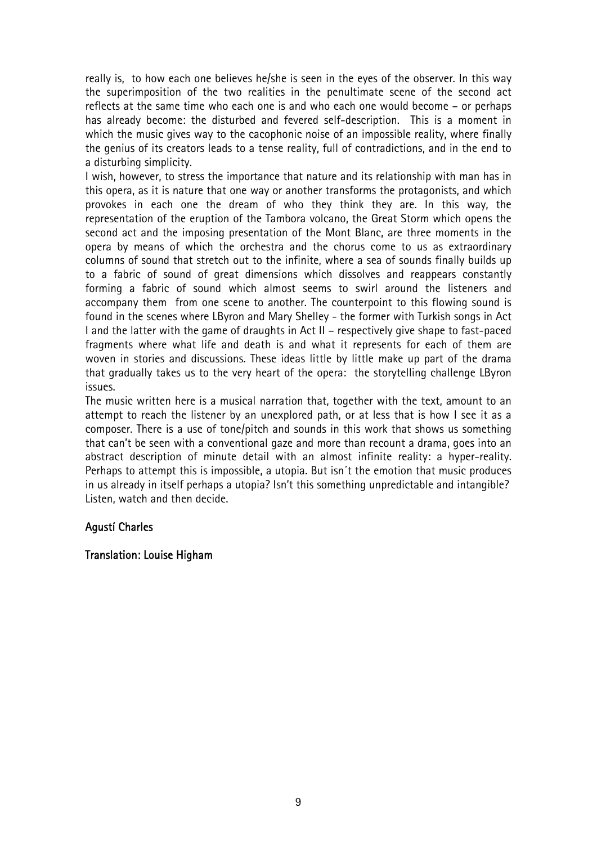really is, to how each one believes he/she is seen in the eyes of the observer. In this way the superimposition of the two realities in the penultimate scene of the second act reflects at the same time who each one is and who each one would become – or perhaps has already become: the disturbed and fevered self-description. This is a moment in which the music gives way to the cacophonic noise of an impossible reality, where finally the genius of its creators leads to a tense reality, full of contradictions, and in the end to a disturbing simplicity.

I wish, however, to stress the importance that nature and its relationship with man has in this opera, as it is nature that one way or another transforms the protagonists, and which provokes in each one the dream of who they think they are. In this way, the representation of the eruption of the Tambora volcano, the Great Storm which opens the second act and the imposing presentation of the Mont Blanc, are three moments in the opera by means of which the orchestra and the chorus come to us as extraordinary columns of sound that stretch out to the infinite, where a sea of sounds finally builds up to a fabric of sound of great dimensions which dissolves and reappears constantly forming a fabric of sound which almost seems to swirl around the listeners and accompany them from one scene to another. The counterpoint to this flowing sound is found in the scenes where LByron and Mary Shelley - the former with Turkish songs in Act I and the latter with the game of draughts in Act II – respectively give shape to fast-paced fragments where what life and death is and what it represents for each of them are woven in stories and discussions. These ideas little by little make up part of the drama that gradually takes us to the very heart of the opera: the storytelling challenge LByron issues.

The music written here is a musical narration that, together with the text, amount to an attempt to reach the listener by an unexplored path, or at less that is how I see it as a composer. There is a use of tone/pitch and sounds in this work that shows us something that can't be seen with a conventional gaze and more than recount a drama, goes into an abstract description of minute detail with an almost infinite reality: a hyper-reality. Perhaps to attempt this is impossible, a utopia. But isn´t the emotion that music produces in us already in itself perhaps a utopia? Isn't this something unpredictable and intangible? Listen, watch and then decide.

#### Agustí Charles

#### Translation: Louise Higham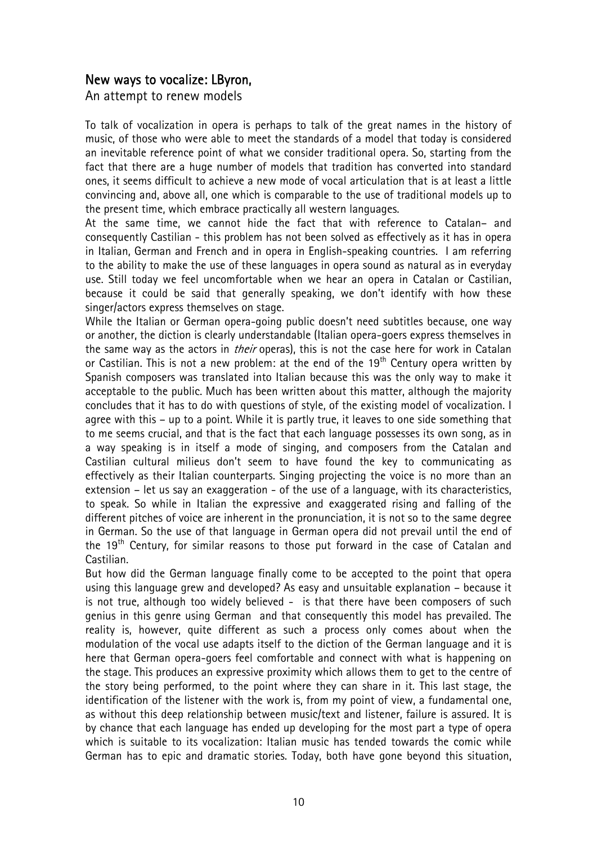#### New ways to vocalize: LByron,

An attempt to renew models

To talk of vocalization in opera is perhaps to talk of the great names in the history of music, of those who were able to meet the standards of a model that today is considered an inevitable reference point of what we consider traditional opera. So, starting from the fact that there are a huge number of models that tradition has converted into standard ones, it seems difficult to achieve a new mode of vocal articulation that is at least a little convincing and, above all, one which is comparable to the use of traditional models up to the present time, which embrace practically all western languages.

At the same time, we cannot hide the fact that with reference to Catalan– and consequently Castilian - this problem has not been solved as effectively as it has in opera in Italian, German and French and in opera in English-speaking countries. I am referring to the ability to make the use of these languages in opera sound as natural as in everyday use. Still today we feel uncomfortable when we hear an opera in Catalan or Castilian, because it could be said that generally speaking, we don't identify with how these singer/actors express themselves on stage.

While the Italian or German opera-going public doesn't need subtitles because, one way or another, the diction is clearly understandable (Italian opera-goers express themselves in the same way as the actors in *their* operas), this is not the case here for work in Catalan or Castilian. This is not a new problem: at the end of the 19<sup>th</sup> Century opera written by Spanish composers was translated into Italian because this was the only way to make it acceptable to the public. Much has been written about this matter, although the majority concludes that it has to do with questions of style, of the existing model of vocalization. I agree with this – up to a point. While it is partly true, it leaves to one side something that to me seems crucial, and that is the fact that each language possesses its own song, as in a way speaking is in itself a mode of singing, and composers from the Catalan and Castilian cultural milieus don't seem to have found the key to communicating as effectively as their Italian counterparts. Singing projecting the voice is no more than an extension – let us say an exaggeration - of the use of a language, with its characteristics, to speak. So while in Italian the expressive and exaggerated rising and falling of the different pitches of voice are inherent in the pronunciation, it is not so to the same degree in German. So the use of that language in German opera did not prevail until the end of the 19<sup>th</sup> Century, for similar reasons to those put forward in the case of Catalan and Castilian.

But how did the German language finally come to be accepted to the point that opera using this language grew and developed? As easy and unsuitable explanation – because it is not true, although too widely believed - is that there have been composers of such genius in this genre using German and that consequently this model has prevailed. The reality is, however, quite different as such a process only comes about when the modulation of the vocal use adapts itself to the diction of the German language and it is here that German opera-goers feel comfortable and connect with what is happening on the stage. This produces an expressive proximity which allows them to get to the centre of the story being performed, to the point where they can share in it. This last stage, the identification of the listener with the work is, from my point of view, a fundamental one, as without this deep relationship between music/text and listener, failure is assured. It is by chance that each language has ended up developing for the most part a type of opera which is suitable to its vocalization: Italian music has tended towards the comic while German has to epic and dramatic stories. Today, both have gone beyond this situation,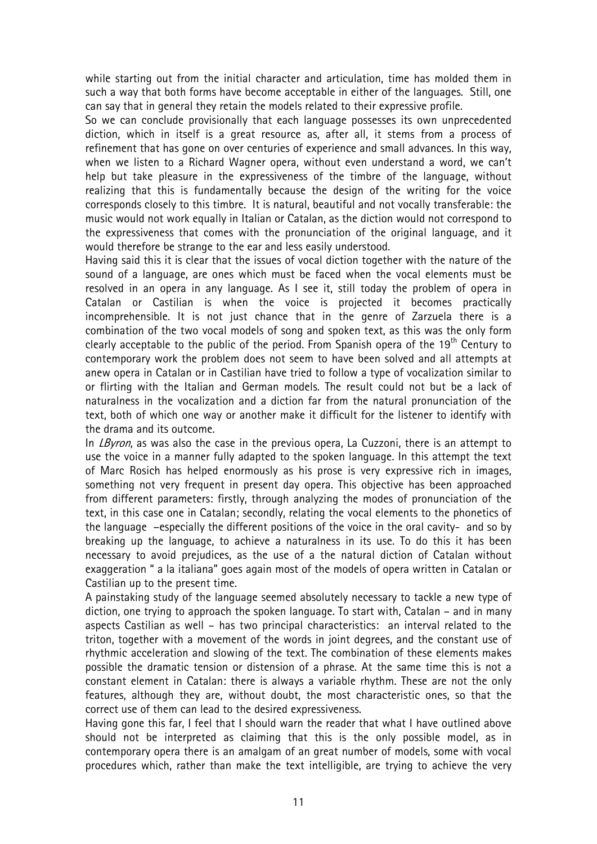while starting out from the initial character and articulation, time has molded them in such a way that both forms have become acceptable in either of the languages. Still, one can say that in general they retain the models related to their expressive profile.

So we can conclude provisionally that each language possesses its own unprecedented diction, which in itself is a great resource as, after all, it stems from a process of refinement that has gone on over centuries of experience and small advances. In this way, when we listen to a Richard Wagner opera, without even understand a word, we can't help but take pleasure in the expressiveness of the timbre of the language, without realizing that this is fundamentally because the design of the writing for the voice corresponds closely to this timbre. It is natural, beautiful and not vocally transferable: the music would not work equally in Italian or Catalan, as the diction would not correspond to the expressiveness that comes with the pronunciation of the original language, and it would therefore be strange to the ear and less easily understood.

Having said this it is clear that the issues of vocal diction together with the nature of the sound of a language, are ones which must be faced when the vocal elements must be resolved in an opera in any language. As I see it, still today the problem of opera in Catalan or Castilian is when the voice is projected it becomes practically incomprehensible. It is not just chance that in the genre of Zarzuela there is a combination of the two vocal models of song and spoken text, as this was the only form clearly acceptable to the public of the period. From Spanish opera of the 19<sup>th</sup> Century to contemporary work the problem does not seem to have been solved and all attempts at anew opera in Catalan or in Castilian have tried to follow a type of vocalization similar to or flirting with the Italian and German models. The result could not but be a lack of naturalness in the vocalization and a diction far from the natural pronunciation of the text, both of which one way or another make it difficult for the listener to identify with the drama and its outcome.

In *LByron*, as was also the case in the previous opera, La Cuzzoni, there is an attempt to use the voice in a manner fully adapted to the spoken language. In this attempt the text of Marc Rosich has helped enormously as his prose is very expressive rich in images, something not very frequent in present day opera. This objective has been approached from different parameters: firstly, through analyzing the modes of pronunciation of the text, in this case one in Catalan; secondly, relating the vocal elements to the phonetics of the language –especially the different positions of the voice in the oral cavity- and so by breaking up the language, to achieve a naturalness in its use. To do this it has been necessary to avoid prejudices, as the use of a the natural diction of Catalan without exaggeration " a la italiana" goes again most of the models of opera written in Catalan or Castilian up to the present time.

A painstaking study of the language seemed absolutely necessary to tackle a new type of diction, one trying to approach the spoken language. To start with, Catalan – and in many aspects Castilian as well – has two principal characteristics: an interval related to the triton, together with a movement of the words in joint degrees, and the constant use of rhythmic acceleration and slowing of the text. The combination of these elements makes possible the dramatic tension or distension of a phrase. At the same time this is not a constant element in Catalan: there is always a variable rhythm. These are not the only features, although they are, without doubt, the most characteristic ones, so that the correct use of them can lead to the desired expressiveness.

Having gone this far, I feel that I should warn the reader that what I have outlined above should not be interpreted as claiming that this is the only possible model, as in contemporary opera there is an amalgam of an great number of models, some with vocal procedures which, rather than make the text intelligible, are trying to achieve the very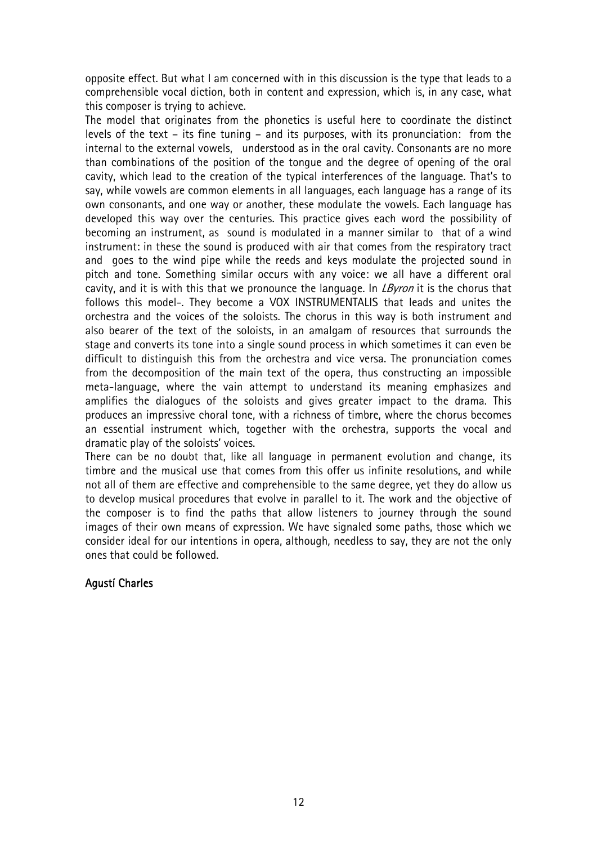opposite effect. But what I am concerned with in this discussion is the type that leads to a comprehensible vocal diction, both in content and expression, which is, in any case, what this composer is trying to achieve.

The model that originates from the phonetics is useful here to coordinate the distinct levels of the text – its fine tuning – and its purposes, with its pronunciation: from the internal to the external vowels, understood as in the oral cavity. Consonants are no more than combinations of the position of the tongue and the degree of opening of the oral cavity, which lead to the creation of the typical interferences of the language. That's to say, while vowels are common elements in all languages, each language has a range of its own consonants, and one way or another, these modulate the vowels. Each language has developed this way over the centuries. This practice gives each word the possibility of becoming an instrument, as sound is modulated in a manner similar to that of a wind instrument: in these the sound is produced with air that comes from the respiratory tract and goes to the wind pipe while the reeds and keys modulate the projected sound in pitch and tone. Something similar occurs with any voice: we all have a different oral cavity, and it is with this that we pronounce the language. In *LByron* it is the chorus that follows this model-. They become a VOX INSTRUMENTALIS that leads and unites the orchestra and the voices of the soloists. The chorus in this way is both instrument and also bearer of the text of the soloists, in an amalgam of resources that surrounds the stage and converts its tone into a single sound process in which sometimes it can even be difficult to distinguish this from the orchestra and vice versa. The pronunciation comes from the decomposition of the main text of the opera, thus constructing an impossible meta-language, where the vain attempt to understand its meaning emphasizes and amplifies the dialogues of the soloists and gives greater impact to the drama. This produces an impressive choral tone, with a richness of timbre, where the chorus becomes an essential instrument which, together with the orchestra, supports the vocal and dramatic play of the soloists' voices.

There can be no doubt that, like all language in permanent evolution and change, its timbre and the musical use that comes from this offer us infinite resolutions, and while not all of them are effective and comprehensible to the same degree, yet they do allow us to develop musical procedures that evolve in parallel to it. The work and the objective of the composer is to find the paths that allow listeners to journey through the sound images of their own means of expression. We have signaled some paths, those which we consider ideal for our intentions in opera, although, needless to say, they are not the only ones that could be followed.

#### Agustí Charles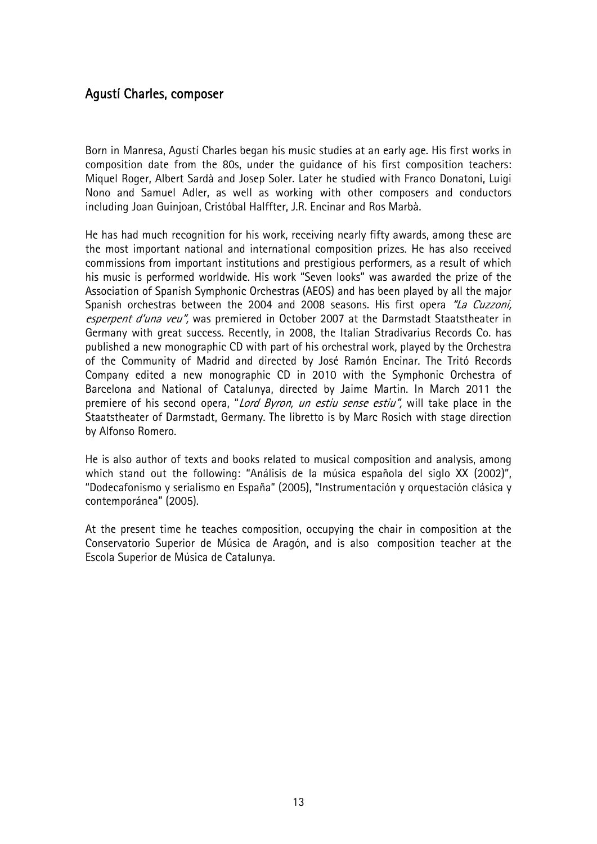#### Agustí Charles, composer

Born in Manresa, Agustí Charles began his music studies at an early age. His first works in composition date from the 80s, under the guidance of his first composition teachers: Miquel Roger, Albert Sardà and Josep Soler. Later he studied with Franco Donatoni, Luigi Nono and Samuel Adler, as well as working with other composers and conductors including Joan Guinjoan, Cristóbal Halffter, J.R. Encinar and Ros Marbà.

He has had much recognition for his work, receiving nearly fifty awards, among these are the most important national and international composition prizes. He has also received commissions from important institutions and prestigious performers, as a result of which his music is performed worldwide. His work "Seven looks" was awarded the prize of the Association of Spanish Symphonic Orchestras (AEOS) and has been played by all the major Spanish orchestras between the 2004 and 2008 seasons. His first opera "La Cuzzoni, esperpent d'una veu", was premiered in October 2007 at the Darmstadt Staatstheater in Germany with great success. Recently, in 2008, the Italian Stradivarius Records Co. has published a new monographic CD with part of his orchestral work, played by the Orchestra of the Community of Madrid and directed by José Ramón Encinar. The Tritó Records Company edited a new monographic CD in 2010 with the Symphonic Orchestra of Barcelona and National of Catalunya, directed by Jaime Martin. In March 2011 the premiere of his second opera, "Lord Byron, un estiu sense estiu", will take place in the Staatstheater of Darmstadt, Germany. The libretto is by Marc Rosich with stage direction by Alfonso Romero.

He is also author of texts and books related to musical composition and analysis, among which stand out the following: "Análisis de la música española del siglo XX (2002)", "Dodecafonismo y serialismo en España" (2005), "Instrumentación y orquestación clásica y contemporánea" (2005).

At the present time he teaches composition, occupying the chair in composition at the Conservatorio Superior de Música de Aragón, and is also composition teacher at the Escola Superior de Música de Catalunya.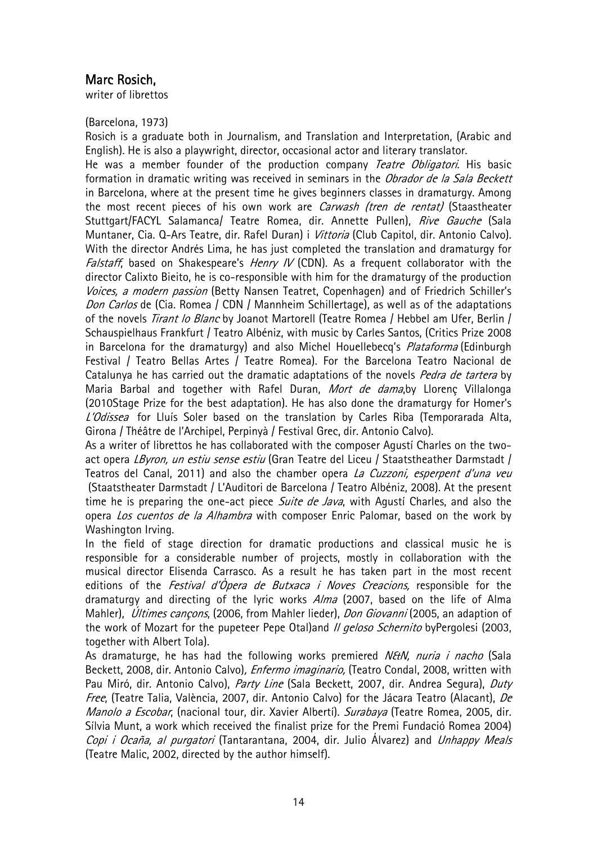#### Marc Rosich,

writer of librettos

(Barcelona, 1973)

Rosich is a graduate both in Journalism, and Translation and Interpretation, (Arabic and English). He is also a playwright, director, occasional actor and literary translator.

He was a member founder of the production company Teatre Obligatori. His basic formation in dramatic writing was received in seminars in the *Obrador de la Sala Beckett* in Barcelona, where at the present time he gives beginners classes in dramaturgy. Among the most recent pieces of his own work are *Carwash (tren de rentat)* (Staastheater Stuttgart/FACYL Salamanca/ Teatre Romea, dir. Annette Pullen), Rive Gauche (Sala Muntaner, Cia. Q-Ars Teatre, dir. Rafel Duran) i *Vittoria* (Club Capitol, dir. Antonio Calvo). With the director Andrés Lima, he has just completed the translation and dramaturgy for Falstaff, based on Shakespeare's *Henry IV* (CDN). As a frequent collaborator with the director Calixto Bieito, he is co-responsible with him for the dramaturgy of the production Voices, a modern passion (Betty Nansen Teatret, Copenhagen) and of Friedrich Schiller's Don Carlos de (Cia. Romea / CDN / Mannheim Schillertage), as well as of the adaptations of the novels *Tirant lo Blanc* by Joanot Martorell (Teatre Romea / Hebbel am Ufer, Berlin / Schauspielhaus Frankfurt / Teatro Albéniz, with music by Carles Santos, (Critics Prize 2008 in Barcelona for the dramaturgy) and also Michel Houellebecg's *Plataforma* (Edinburgh Festival / Teatro Bellas Artes / Teatre Romea). For the Barcelona Teatro Nacional de Catalunya he has carried out the dramatic adaptations of the novels Pedra de tartera by Maria Barbal and together with Rafel Duran, Mort de dama, by Llorenç Villalonga (2010Stage Prize for the best adaptation). He has also done the dramaturgy for Homer's L'Odissea for Lluís Soler based on the translation by Carles Riba (Temporarada Alta, Girona / Théâtre de l'Archipel, Perpinyà / Festival Grec, dir. Antonio Calvo).

As a writer of librettos he has collaborated with the composer Agustí Charles on the twoact opera LByron, un estiu sense estiu (Gran Teatre del Liceu / Staatstheather Darmstadt / Teatros del Canal, 2011) and also the chamber opera La Cuzzoni, esperpent d'una veu (Staatstheater Darmstadt / L'Auditori de Barcelona / Teatro Albéniz, 2008). At the present time he is preparing the one-act piece *Suite de Java*, with Agusti Charles, and also the opera Los cuentos de la Alhambra with composer Enric Palomar, based on the work by Washington Irving.

In the field of stage direction for dramatic productions and classical music he is responsible for a considerable number of projects, mostly in collaboration with the musical director Elisenda Carrasco. As a result he has taken part in the most recent editions of the *Festival d'Òpera de Butxaca i Noves Creacions*, responsible for the dramaturgy and directing of the lyric works *Alma* (2007, based on the life of Alma Mahler), *Últimes cançons*, (2006, from Mahler lieder), *Don Giovanni* (2005, an adaption of the work of Mozart for the pupeteer Pepe Otal)and *II geloso Schernito* byPergolesi (2003, together with Albert Tola).

As dramaturge, he has had the following works premiered NEtN, nuria i nacho (Sala Beckett, 2008, dir. Antonio Calvo), *Enfermo imaginario*, (Teatro Condal, 2008, written with Pau Miró, dir. Antonio Calvo), Party Line (Sala Beckett, 2007, dir. Andrea Segura), Duty Free, (Teatre Talia, València, 2007, dir. Antonio Calvo) for the Jácara Teatro (Alacant), De Manolo a Escobar, (nacional tour, dir. Xavier Alberti). Surabaya (Teatre Romea, 2005, dir. Sílvia Munt, a work which received the finalist prize for the Premi Fundació Romea 2004) Copi i Ocaña, al purgatori (Tantarantana, 2004, dir. Julio Álvarez) and Unhappy Meals (Teatre Malic, 2002, directed by the author himself).